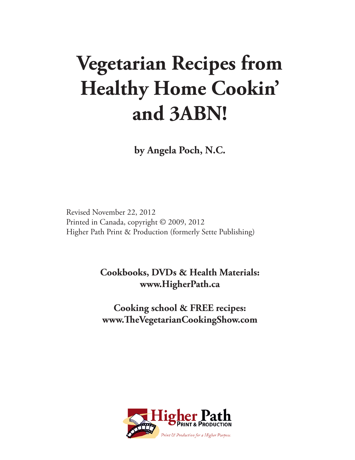# **Vegetarian Recipes from Healthy Home Cookin' and 3ABN!**

**by Angela Poch, N.C.**

Revised November 22, 2012 Printed in Canada, copyright © 2009, 2012 Higher Path Print & Production (formerly Sette Publishing)

> **Cookbooks, DVDs & Health Materials: www.HigherPath.ca**

**Cooking school & FREE recipes: www.TheVegetarianCookingShow.com**

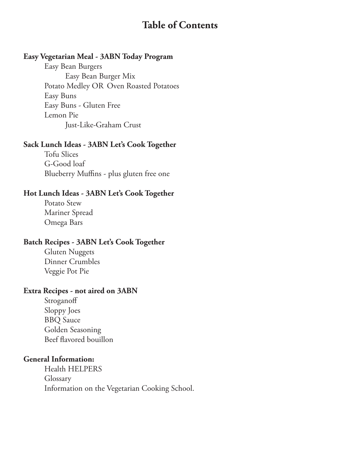# **Table of Contents**

#### **Easy Vegetarian Meal - 3ABN Today Program**

Easy Bean Burgers Easy Bean Burger Mix Potato Medley OR Oven Roasted Potatoes Easy Buns Easy Buns - Gluten Free Lemon Pie Just-Like-Graham Crust

#### **Sack Lunch Ideas - 3ABN Let's Cook Together**

Tofu Slices G-Good loaf Blueberry Muffins - plus gluten free one

#### **Hot Lunch Ideas - 3ABN Let's Cook Together**

Potato Stew Mariner Spread Omega Bars

#### **Batch Recipes - 3ABN Let's Cook Together**

Gluten Nuggets Dinner Crumbles Veggie Pot Pie

#### **Extra Recipes - not aired on 3ABN**

Stroganoff Sloppy Joes BBQ Sauce Golden Seasoning Beef flavored bouillon

#### **General Information:**

Health HELPERS Glossary Information on the Vegetarian Cooking School.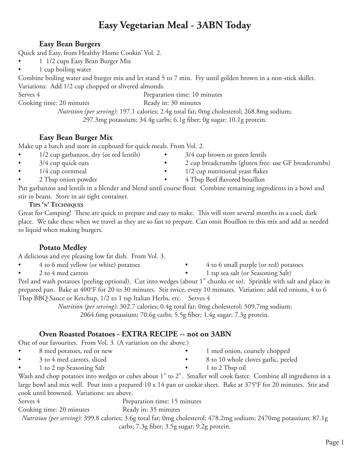# **Easy Vegetarian Meal - 3ABN Today**

#### **Easy Bean Burgers**

Quick and Easy, from Healthy Home Cookin' Vol. 2.

- 1 1/2 cups Easy Bean Burger Mix
- 1 cup boiling water

Combine boiling water and burger mix and let stand 5 to 7 min. Fry until golden brown in a non-stick skillet. Variations: Add 1/2 cup chopped or slivered almonds.

Serves 4 Preparation time: 10 minutes

Cooking time: 20 minutes Ready in: 30 minutes

*Nutrition (per serving)*: 197.1 calories; 2.4g total fat; 0mg cholesterol; 268.8mg sodium; 297.3mg potassium; 34.4g carbs; 6.1g fiber; 0g sugar; 10.1g protein.

#### **Easy Bean Burger Mix**

Make up a batch and store in cupboard for quick meals. From Vol. 2.

- 1/2 cup garbanzos, dry (or red lentils) 3/4 cup brown or green lentils
- 
- 
- 
- 3/4 cup quick oats 2 cup breadcrumbs (gluten free: use GF breadcrumbs)
- 1/4 cup cornmeal 1/2 cup nutritional yeast flakes
	- 2 Tbsp onion powder 4 Tbsp Beef flavored bouillon

Put garbanzos and lentils in a blender and blend until course flour. Combine remaining ingredients in a bowl and stir in beans. Store in air tight container.

#### **Tips 'n' Techniques**

Great for Camping! These are quick to prepare and easy to make. This will store several months in a cool, dark place. We take these when we travel as they are so fast to prepare. Can omit Bouillon in this mix and add as needed to liquid when making burgers.

#### **Potato Medley**

A delicious and eye pleasing low fat dish. From Vol. 3.

- 4 to 6 med yellow (or white) potatoes 4 to 6 small purple (or red) potatoes
	-
- 
- 2 to 4 med carrots 1 tsp sea salt (or Seasoning Salt)

Peel and wash potatoes (peeling optional). Cut into wedges (about 1" chunks or so). Sprinkle with salt and place in prepared pan. Bake at 400°F for 20 to 30 minutes. Stir twice, every 10 minutes. Variation: add red onions, 4 to 6 Tbsp BBQ Sauce or Ketchup, 1/2 to 1 tsp Italian Herbs, etc. Serves 4

*Nutrition (per serving)*: 302.7 calories; 0.4g total fat; 0mg cholesterol; 509.7mg sodium; 2064.6mg potassium; 70.6g carbs; 5.5g fiber; 1.4g sugar; 7.3g protein.

# **Oven Roasted Potatoes - EXTRA RECIPE -- not on 3ABN**

One of our favourites. From Vol. 3. (A variation on the above.)

- 8 med potatoes, red or new 1 med onion, coarsely chopped
- 3 to 4 med carrots, sliced 8 to 10 whole cloves garlic, peeled
- 1 to 2 tsp Seasoning Salt **•** 1 to 2 Tbsp oil
- Wash and chop potatoes into wedges or cubes about 1" to 2". Smaller will cook faster. Combine all ingredients in a large bowl and mix well. Pour into a prepared 10 x 14 pan or cookie sheet. Bake at 375°F for 20 minutes. Stir and cook until browned. Variations: see above.

Serves 4 Preparation time: 15 minutes Cooking time: 20 minutes Ready in: 35 minutes

*Nutrition (per serving)*: 399.8 calories; 3.6g total fat; 0mg cholesterol; 478.2mg sodium; 2470mg potassium; 87.1g carbs; 7.3g fiber; 3.5g sugar; 9.2g protein.

Page 1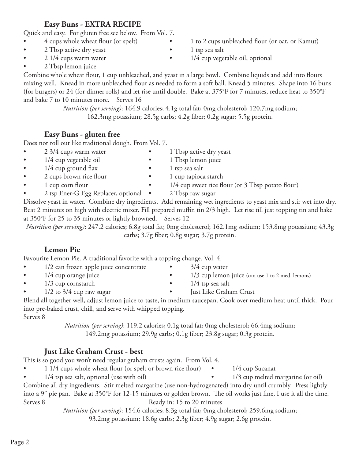2 Tbsp active dry yeast **•** 1 tsp sea salt

**Easy Buns - EXTRA RECIPE** Quick and easy. For gluten free see below. From Vol. 7.

• 2 Tbsp lemon juice

Combine whole wheat flour, 1 cup unbleached, and yeast in a large bowl. Combine liquids and add into flours mixing well. Knead in more unbleached flour as needed to form a soft ball. Knead 5 minutes. Shape into 16 buns (for burgers) or 24 (for dinner rolls) and let rise until double. Bake at 375°F for 7 minutes, reduce heat to 350°F and bake 7 to 10 minutes more. Serves 16

> *Nutrition (per serving)*: 164.9 calories; 4.1g total fat; 0mg cholesterol; 120.7mg sodium; 162.3mg potassium; 28.5g carbs; 4.2g fiber; 0.2g sugar; 5.5g protein.

#### **Easy Buns - gluten free**

Does not roll out like traditional dough. From Vol. 7.

- 2 3/4 cups warm water 1 Tbsp active dry yeast
- 1/4 cup vegetable oil 1 Tbsp lemon juice
- 
- 2 cups brown rice flour 1 cup tapioca starch
- 
- 

Dissolve yeast in water. Combine dry ingredients. Add remaining wet ingredients to yeast mix and stir wet into dry. Beat 2 minutes on high with electric mixer. Fill prepared muffin tin 2/3 high. Let rise till just topping tin and bake at 350°F for 25 to 35 minutes or lightly browned. Serves 12

*Nutrition (per serving)*: 247.2 calories; 6.8g total fat; 0mg cholesterol; 162.1mg sodium; 153.8mg potassium; 43.3g carbs; 3.7g fiber; 0.8g sugar; 3.7g protein.

### **Lemon Pie**

Favourite Lemon Pie. A traditional favorite with a topping change. Vol. 4.

- 1/2 can frozen apple juice concentrate 3/4 cup water
- 
- 1/3 cup cornstarch 1/4 tsp sea salt
- 
- 1/2 to 3/4 cup raw sugar Just Like Graham Crust Blend all together well, adjust lemon juice to taste, in medium saucepan. Cook over medium heat until thick. Pour into pre-baked crust, chill, and serve with whipped topping. Serves 8

*Nutrition (per serving)*: 119.2 calories; 0.1g total fat; 0mg cholesterol; 66.4mg sodium; 149.2mg potassium; 29.9g carbs; 0.1g fiber; 23.8g sugar; 0.3g protein.

### **Just Like Graham Crust - best**

This is so good you won't need regular graham crusts again. From Vol. 4.

- 1 1/4 cups whole wheat flour (or spelt or brown rice flour) 1/4 cup Sucanat
- 1/4 tsp sea salt, optional (use with oil) 1/3 cup melted margarine (or oil)

Combine all dry ingredients. Stir melted margarine (use non-hydrogenated) into dry until crumbly. Press lightly into a 9" pie pan. Bake at 350°F for 12-15 minutes or golden brown. The oil works just fine, I use it all the time. Serves 8 Ready in: 15 to 20 minutes

*Nutrition (per serving)*: 154.6 calories; 8.3g total fat; 0mg cholesterol; 259.6mg sodium; 93.2mg potassium; 18.6g carbs; 2.3g fiber; 4.9g sugar; 2.6g protein.

- 4 cups whole wheat flour (or spelt) 1 to 2 cups unbleached flour (or oat, or Kamut)
	-
- 2 1/4 cups warm water 1/4 cup vegetable oil, optional

- 1/4 cup ground flax **•** 1 tsp sea salt
	-
	-
- 1 cup corn flour 1/4 cup sweet rice flour (or 3 Tbsp potato flour) • 2 tsp Ener-G Egg Replacer, optional • 2 Tbsp raw sugar
	-

- 
- 1/4 cup orange juice 1/3 cup lemon juice (can use 1 to 2 med. lemons)
	-
	-
- 
-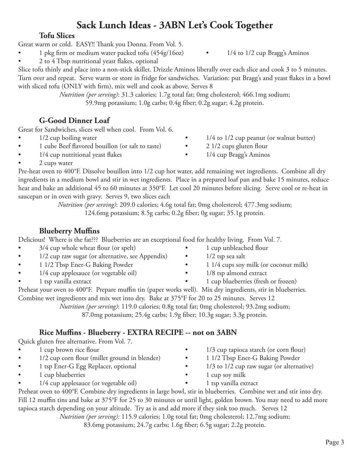# **Sack Lunch Ideas - 3ABN Let's Cook Together**

#### **Tofu Slices**

Great warm or cold. EASY!! Thank you Donna. From Vol. 5.

- 1 pkg firm or medium water packed tofu (454g/16oz) 1/4 to 1/2 cup Bragg's Aminos
- 2 to 4 Tbsp nutritional yeast flakes, optional

Slice tofu thinly and place into a non-stick skillet. Drizzle Aminos liberally over each slice and cook 3 to 5 minutes. Turn over and repeat. Serve warm or store in fridge for sandwiches. Variation: put Bragg's and yeast flakes in a bowl with sliced tofu (ONLY with firm), mix well and cook as above. Serves 8

> *Nutrition (per serving)*: 31.3 calories; 1.7g total fat; 0mg cholesterol; 466.1mg sodium; 59.9mg potassium; 1.0g carbs; 0.4g fiber; 0.2g sugar; 4.2g protein.

#### **G-Good Dinner Loaf**

Great for Sandwiches, slices well when cool. From Vol. 6.

- 
- 1 cube Beef flavored bouillon (or salt to taste) 2 1/2 cups gluten flour
- 1/4 cup nutritional yeast flakes 1/4 cup Bragg's Aminos
- 2 cups water Pre-heat oven to 400°F. Dissolve bouillon into 1/2 cup hot water, add remaining wet ingredients. Combine all dry ingredients in a medium bowl and stir in wet ingredients. Place in a prepared loaf pan and bake 15 minutes, reduce heat and bake an additional 45 to 60 minutes at 350°F. Let cool 20 minutes before slicing. Serve cool or re-heat in saucepan or in oven with gravy. Serves 9, two slices each

*Nutrition (per serving)*: 209.0 calories; 4.6g total fat; 0mg cholesterol; 477.3mg sodium; 124.6mg potassium; 8.5g carbs; 0.2g fiber; 0g sugar; 35.1g protein.

#### **Blueberry Muffins**

Delicious! Where is the fat??? Blueberries are an exceptional food for healthy living. From Vol. 7.

- 3/4 cup whole wheat flour (or spelt) 1 cup unbleached flour
- 1/2 cup raw sugar (or alternative, see Appendix) 1/2 tsp sea salt
- 
- 1/4 cup applesauce (or vegetable oil) 1/8 tsp almond extract
- 
- Preheat your oven to 400°F. Prepare muffin tin (paper works well). Mix dry ingredients, stir in blueberries. Combine wet ingredients and mix wet into dry. Bake at 375°F for 20 to 25 minutes. Serves 12

*Nutrition (per serving)*: 119.0 calories; 0.8g total fat; 0mg cholesterol; 93.2mg sodium;

#### **Rice Muffins - Blueberry - EXTRA RECIPE -- not on 3ABN**

Quick gluten free alternative. From Vol. 7.

- 1 cup brown rice flour 1/3 cup tapioca starch (or corn flour)
- 1/2 cup corn flour (millet ground in blender) 1 1/2 Tbsp Ener-G Baking Powder
- 1 tsp Ener-G Egg Replacer, optional 1/3 to 1/2 cup raw sugar (or alternative)
- 1 cup blueberries 1 cup soy milk
- 1/4 cup applesauce (or vegetable oil) 1 tsp vanilla extract

Preheat oven to 400°F. Combine dry ingredients in large bowl, stir in blueberries. Combine wet and stir into dry. Fill 12 muffin tins and bake at 375°F for 25 to 30 minutes or until light, golden brown. You may need to add more tapioca starch depending on your altitude. Try as is and add more if they sink too much. Serves 12

*Nutrition (per serving):* 115.9 calories; 1.0g total fat; 0mg cholesterol; 12.7mg sodium;

83.6mg potassium; 24.7g carbs; 1.6g fiber; 6.5g sugar; 2.2g protein.

- 1/2 cup boiling water 1/4 to 1/2 cup peanut (or walnut butter)
	- -

- 
- 1 1/2 Tbsp Ener-G Baking Powder 1 1/4 cups soy milk (or coconut milk)
	-
- 1 tsp vanilla extract 1 cup blueberries (fresh or frozen)
	-

87.0mg potassium; 25.4g carbs; 1.9g fiber; 10.3g sugar; 3.3g protein.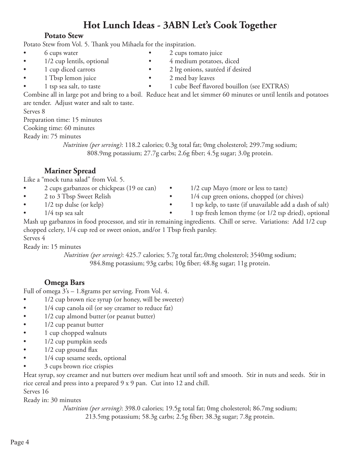# **Hot Lunch Ideas - 3ABN Let's Cook Together**

#### **Potato Stew**

Potato Stew from Vol. 5. Thank you Mihaela for the inspiration.

- 6 cups water 2 cups tomato juice
- 1/2 cup lentils, optional 4 medium potatoes, diced
- 1 cup diced carrots 2 lrg onions, sautéed if desired
- 1 Tbsp lemon juice 2 med bay leaves
- 
- 
- 1 tsp sea salt, to taste 1 cube Beef flavored bouillon (see EXTRAS)

Combine all in large pot and bring to a boil. Reduce heat and let simmer 60 minutes or until lentils and potatoes are tender. Adjust water and salt to taste.

Serves 8

Preparation time: 15 minutes

Cooking time: 60 minutes

Ready in: 75 minutes

*Nutrition (per serving)*: 118.2 calories; 0.3g total fat; 0mg cholesterol; 299.7mg sodium; 808.9mg potassium; 27.7g carbs; 2.6g fiber; 4.5g sugar; 3.0g protein.

#### **Mariner Spread**

Like a "mock tuna salad" from Vol. 5.

- 2 cups garbanzos or chickpeas (19 oz can) 1/2 cup Mayo (more or less to taste)
- 
- 
- 
- 
- 2 to 3 Tbsp Sweet Relish 1/4 cup green onions, chopped (or chives)
- 1/2 tsp dulse (or kelp) 1 tsp kelp, to taste (if unavailable add a dash of salt)
- 1/4 tsp sea salt 1 tsp fresh lemon thyme (or 1/2 tsp dried), optional

Mash up garbanzos in food processor, and stir in remaining ingredients. Chill or serve. Variations: Add 1/2 cup chopped celery, 1/4 cup red or sweet onion, and/or 1 Tbsp fresh parsley. Serves 4

Ready in: 15 minutes

*Nutrition (per serving)*: 425.7 calories; 5.7g total fat;.0mg cholesterol; 3540mg sodium; 984.8mg potassium; 93g carbs; 10g fiber; 48.8g sugar; 11g protein.

#### **Omega Bars**

Full of omega 3's – 1.8grams per serving. From Vol. 4.

- 1/2 cup brown rice syrup (or honey, will be sweeter)
- 1/4 cup canola oil (or soy creamer to reduce fat)
- 1/2 cup almond butter (or peanut butter)
- 1/2 cup peanut butter
- 1 cup chopped walnuts
- 1/2 cup pumpkin seeds
- $\bullet$  1/2 cup ground flax
- 1/4 cup sesame seeds, optional
- 3 cups brown rice crispies

Heat syrup, soy creamer and nut butters over medium heat until soft and smooth. Stir in nuts and seeds. Stir in rice cereal and press into a prepared 9 x 9 pan. Cut into 12 and chill. Serves 16

Ready in: 30 minutes

*Nutrition (per serving)*: 398.0 calories; 19.5g total fat; 0mg cholesterol; 86.7mg sodium; 213.5mg potassium; 58.3g carbs; 2.5g fiber; 38.3g sugar; 7.8g protein.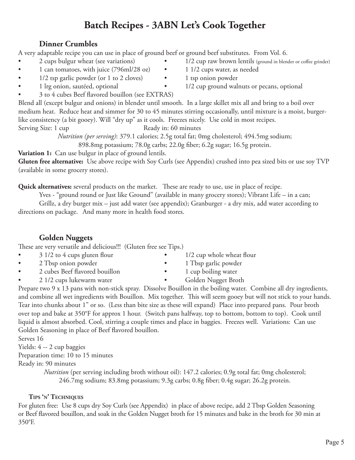# **Batch Recipes - 3ABN Let's Cook Together**

#### **Dinner Crumbles**

A very adaptable recipe you can use in place of ground beef or ground beef substitutes. From Vol. 6.

- 
- 1 can tomatoes, with juice (796ml/28 oz) 1 1/2 cups water, as needed
- 1/2 tsp garlic powder (or 1 to 2 cloves) 1 tsp onion powder
- 
- 3 to 4 cubes Beef flavored bouillon (see EXTRAS)

Blend all (except bulgur and onions) in blender until smooth. In a large skillet mix all and bring to a boil over medium heat. Reduce heat and simmer for 30 to 45 minutes stirring occasionally, until mixture is a moist, burgerlike consistency (a bit gooey). Will "dry up" as it cools. Freezes nicely. Use cold in most recipes. Serving Size: 1 cup Ready in: 60 minutes

*Nutrition (per serving)*: 379.1 calories; 2.5g total fat; 0mg cholesterol; 494.5mg sodium;

898.8mg potassium; 78.0g carbs; 22.0g fiber; 6.2g sugar; 16.5g protein.

**Variation 1:** Can use bulgur in place of ground lentils.

**Gluten free alternative:** Use above recipe with Soy Curls (see Appendix) crushed into pea sized bits or use soy TVP (available in some grocery stores).

**Quick alternatives:** several products on the market. These are ready to use, use in place of recipe.

Yves - "ground round or Just like Ground" (available in many grocery stores); Vibrant Life – in a can;

Grillz, a dry burger mix – just add water (see appendix); Granburger - a dry mix, add water according to directions on package. And many more in health food stores.

### **Golden Nuggets**

These are very versatile and delicious!!! (Gluten free see Tips.)

- 3 1/2 to 4 cups gluten flour 1/2 cup whole wheat flour
- 2 Tbsp onion powder 1 Tbsp garlic powder
- 2 cubes Beef flavored bouillon 1 cup boiling water
- 2 1/2 cups lukewarm water Golden Nugget Broth
- 
- 
- -

Prepare two 9 x 13 pans with non-stick spray. Dissolve Bouillon in the boiling water. Combine all dry ingredients, and combine all wet ingredients with Bouillon. Mix together. This will seem gooey but will not stick to your hands. Tear into chunks about 1" or so. (Less than bite size as these will expand) Place into prepared pans. Pour broth over top and bake at 350°F for approx 1 hour. (Switch pans halfway, top to bottom, bottom to top). Cook until liquid is almost absorbed. Cool, stirring a couple times and place in baggies. Freezes well. Variations: Can use Golden Seasoning in place of Beef flavored bouillon.

Serves 16

Yields: 4 -- 2 cup baggies

Preparation time: 10 to 15 minutes

Ready in: 90 minutes

*Nutrition* (per serving including broth without oil): 147.2 calories; 0.9g total fat; 0mg cholesterol; 246.7mg sodium; 83.8mg potassium; 9.3g carbs; 0.8g fiber; 0.4g sugar; 26.2g protein.

#### **Tips 'n' Techniques**

For gluten free: Use 8 cups dry Soy Curls (see Appendix) in place of above recipe, add 2 Tbsp Golden Seasoning or Beef flavored bouillon, and soak in the Golden Nugget broth for 15 minutes and bake in the broth for 30 min at 350°F.

- 2 cups bulgur wheat (see variations) 1/2 cup raw brown lentils (ground in blender or coffee grinder)
	-
	-
	- 1 lrg onion, sautéed, optional 1/2 cup ground walnuts or pecans, optional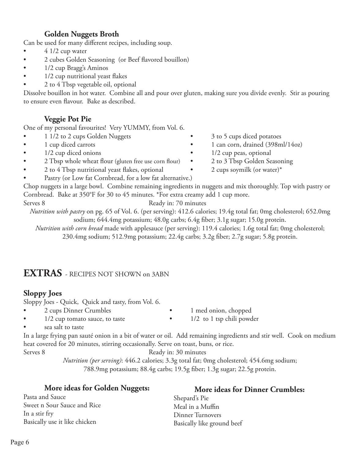#### **Golden Nuggets Broth**

Can be used for many different recipes, including soup.

- $\bullet$  4 1/2 cup water
- 2 cubes Golden Seasoning (or Beef flavored bouillon)
- 1/2 cup Bragg's Aminos
- 1/2 cup nutritional yeast flakes
- 2 to 4 Tbsp vegetable oil, optional

Dissolve bouillon in hot water. Combine all and pour over gluten, making sure you divide evenly. Stir as pouring to ensure even flavour. Bake as described.

#### **Veggie Pot Pie**

One of my personal favourites! Very YUMMY, from Vol. 6.

- 1 1/2 to 2 cups Golden Nuggets 3 to 5 cups diced potatoes
- 
- 1/2 cup diced onions 1/2 cup peas, optional
- 2 Tbsp whole wheat flour (gluten free use corn flour) 2 to 3 Tbsp Golden Seasoning
- 2 to 4 Tbsp nutritional yeast flakes, optional 2 cups soymilk (or water)\*
- Pastry (or Low fat Cornbread, for a low fat alternative.)

Chop nuggets in a large bowl. Combine remaining ingredients in nuggets and mix thoroughly. Top with pastry or Cornbread. Bake at 350°F for 30 to 45 minutes. \*For extra creamy add 1 cup more.

Serves 8 Ready in: 70 minutes

*Nutrition with pastry* on pg. 65 of Vol. 6. (per serving): 412.6 calories; 19.4g total fat; 0mg cholesterol; 652.0mg sodium; 644.4mg potassium; 48.0g carbs; 6.4g fiber; 3.1g sugar; 15.0g protein.

*Nutrition with corn bread* made with applesauce (per serving): 119.4 calories; 1.6g total fat; 0mg cholesterol; 230.4mg sodium; 512.9mg potassium; 22.4g carbs; 3.2g fiber; 2.7g sugar; 5.8g protein.

# **EXTRAS** - RECIPES NOT SHOWN on 3ABN

#### **Sloppy Joes**

Sloppy Joes - Quick, Quick and tasty, from Vol. 6.

- - 2 cups Dinner Crumbles 1 med onion, chopped
- 1/2 cup tomato sauce, to taste 1/2 to 1 tsp chili powder
	-

sea salt to taste

In a large frying pan sauté onion in a bit of water or oil. Add remaining ingredients and stir well. Cook on medium heat covered for 20 minutes, stirring occasionally. Serve on toast, buns, or rice.

Serves 8 Ready in: 30 minutes

*Nutrition (per serving)*: 446.2 calories; 3.3g total fat; 0mg cholesterol; 454.6mg sodium; 788.9mg potassium; 88.4g carbs; 19.5g fiber; 1.3g sugar; 22.5g protein.

| More ideas for Golden Nuggets: | More ideas for Dinner Crumbles: |
|--------------------------------|---------------------------------|
| Pasta and Sauce                | Shepard's Pie                   |
| Sweet n Sour Sauce and Rice    | Meal in a Muffin                |
| In a stir fry                  | Dinner Turnovers                |
| Basically use it like chicken  | Basically like ground beef      |

- 
- 1 cup diced carrots 1 can corn, drained (398ml/14oz)
	-
	-
	-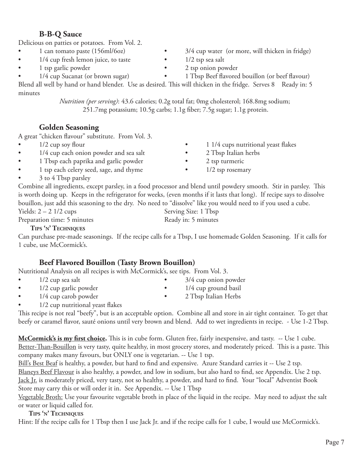Hint: If the recipe calls for 1 Tbsp then I use Jack Jr. and if the recipe calls for 1 cube, I would use McCormick's.

**B-B-Q Sauce**

Delicious on patties or potatoes. From Vol. 2.

- 1 can tomato paste (156ml/6oz) 3/4 cup water (or more, will thicken in fridge)
- 1/4 cup fresh lemon juice, to taste 1/2 tsp sea salt
- 1 tsp garlic powder 2 tsp onion powder
- 

Blend all well by hand or hand blender. Use as desired. This will thicken in the fridge. Serves 8 Ready in: 5 minutes

*Nutrition (per serving)*: 43.6 calories; 0.2g total fat; 0mg cholesterol; 168.8mg sodium; 251.7mg potassium; 10.5g carbs; 1.1g fiber; 7.5g sugar; 1.1g protein.

#### **Golden Seasoning**

A great "chicken flavour" substitute. From Vol. 3.

- 
- 1/4 cup each onion powder and sea salt 2 Tbsp Italian herbs
- 1 Tbsp each paprika and garlic powder 2 tsp turmeric
- 1 tsp each celery seed, sage, and thyme 1/2 tsp rosemary
- 3 to 4 Tbsp parsley

Combine all ingredients, except parsley, in a food processor and blend until powdery smooth. Stir in parsley. This is worth doing up. Keeps in the refrigerator for weeks, (even months if it lasts that long). If recipe says to dissolve bouillon, just add this seasoning to the dry. No need to "dissolve" like you would need to if you used a cube.

 $Yields: 2 - 2 \frac{1}{2} \text{ cups}$  Serving Size: 1 Tbsp Preparation time: 5 minutes Ready in: 5 minutes

#### **Tips 'n' Techniques**

Can purchase pre-made seasonings. If the recipe calls for a Tbsp, I use homemade Golden Seasoning. If it calls for 1 cube, use McCormick's.

#### **Beef Flavored Bouillon (Tasty Brown Bouillon)**

Nutritional Analysis on all recipes is with McCormick's, see tips. From Vol. 3.

- 
- 
- 1/4 cup carob powder 2 Tbsp Italian Herbs
- 1/2 cup nutritional yeast flakes

This recipe is not real "beefy", but is an acceptable option. Combine all and store in air tight container. To get that beefy or caramel flavor, sauté onions until very brown and blend. Add to wet ingredients in recipe. - Use 1-2 Tbsp.

**McCormick's is my first choice.** This is in cube form. Gluten free, fairly inexpensive, and tasty. -- Use 1 cube. Better-Than-Bouillon is very tasty, quite healthy, in most grocery stores, and moderately priced. This is a paste. This company makes many favours, but ONLY one is vegetarian. -- Use 1 tsp.

Bill's Best Beaf is healthy, a powder, but hard to find and expensive. Azure Standard carries it -- Use 2 tsp. Blaneys Beef Flavour is also healthy, a powder, and low in sodium, but also hard to find, see Appendix. Use 2 tsp. Jack Jr. is moderately priced, very tasty, not so healthy, a powder, and hard to find. Your "local" Adventist Book Store may carry this or will order it in. See Appendix. -- Use 1 Tbsp

Vegetable Broth: Use your favourite vegetable broth in place of the liquid in the recipe. May need to adjust the salt or water or liquid called for.

#### **Tips 'n' Techniques**



- 
- 1/4 cup Sucanat (or brown sugar) 1 Tbsp Beef flavored bouillon (or beef flavour)
	-

- 1/2 cup soy flour **•** 1 1/4 cups nutritional yeast flakes
	-
	-
	-
	-
	-
- 1/2 cup sea salt 3/4 cup onion powder • 1/2 cup garlic powder • 1/4 cup ground basil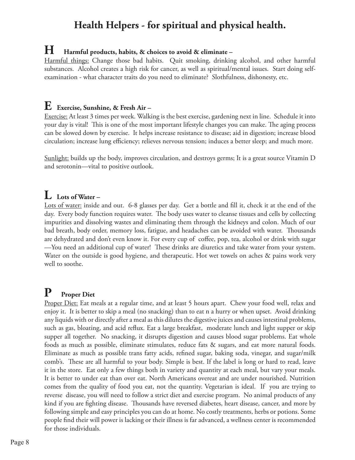# **Health Helpers - for spiritual and physical health.**

#### **H Harmful products, habits, & choices to avoid & eliminate –**

Harmful things: Change those bad habits. Quit smoking, drinking alcohol, and other harmful substances. Alcohol creates a high risk for cancer, as well as spiritual/mental issues. Start doing selfexamination - what character traits do you need to eliminate? Slothfulness, dishonesty, etc.

#### **E Exercise, Sunshine, & Fresh Air –**

Exercise: At least 3 times per week. Walking is the best exercise, gardening next in line. Schedule it into your day is vital! This is one of the most important lifestyle changes you can make. The aging process can be slowed down by exercise. It helps increase resistance to disease; aid in digestion; increase blood circulation; increase lung efficiency; relieves nervous tension; induces a better sleep; and much more.

Sunlight: builds up the body, improves circulation, and destroys germs; It is a great source Vitamin D and serotonin—vital to positive outlook.

# **L Lots of Water –**

Lots of water: inside and out. 6-8 glasses per day. Get a bottle and fill it, check it at the end of the day. Every body function requires water. The body uses water to cleanse tissues and cells by collecting impurities and dissolving wastes and eliminating them through the kidneys and colon. Much of our bad breath, body order, memory loss, fatigue, and headaches can be avoided with water. Thousands are dehydrated and don't even know it. For every cup of coffee, pop, tea, alcohol or drink with sugar —You need an additional cup of water! These drinks are diuretics and take water from your system. Water on the outside is good hygiene, and therapeutic. Hot wet towels on aches & pains work very well to soothe.

# **P Proper Diet**

Proper Diet: Eat meals at a regular time, and at least 5 hours apart. Chew your food well, relax and enjoy it. It is better to skip a meal (no snacking) than to eat n a hurry or when upset. Avoid drinking any liquids with or directly after a meal as this dilutes the digestive juices and causes intestinal problems, such as gas, bloating, and acid reflux. Eat a large breakfast, moderate lunch and light supper or skip supper all together. No snacking, it disrupts digestion and causes blood sugar problems. Eat whole foods as much as possible, eliminate stimulates, reduce fats & sugars, and eat more natural foods. Eliminate as much as possible trans fatty acids, refined sugar, baking soda, vinegar, and sugar/milk comb's. These are all harmful to your body. Simple is best. If the label is long or hard to read, leave it in the store. Eat only a few things both in variety and quantity at each meal, but vary your meals. It is better to under eat than over eat. North Americans overeat and are under nourished. Nutrition comes from the quality of food you eat, not the quantity. Vegetarian is ideal. If you are trying to reverse disease, you will need to follow a strict diet and exercise program. No animal products of any kind if you are fighting disease. Thousands have reversed diabetes, heart disease, cancer, and more by following simple and easy principles you can do at home. No costly treatments, herbs or potions. Some people find their will power is lacking or their illness is far advanced, a wellness center is recommended for those individuals.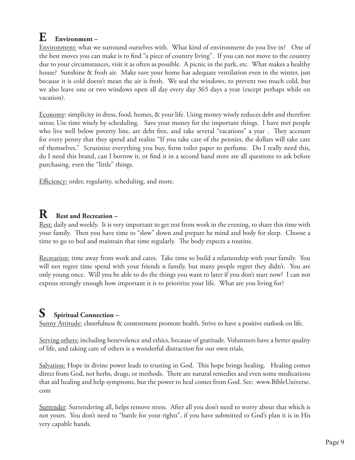# **E Environment –**

Environment: what we surround ourselves with. What kind of environment do you live in? One of the best moves you can make is to find "a piece of country living". If you can not move to the country due to your circumstances, visit it as often as possible. A picnic in the park, etc. What makes a healthy house? Sunshine & fresh air. Make sure your home has adequate ventilation even in the winter, just because it is cold doesn't mean the air is fresh. We seal the windows, to prevent too much cold, but we also leave one or two windows open all day every day 365 days a year (except perhaps while on vacation).

Economy: simplicity in dress, food, homes, & your life. Using money wisely reduces debt and therefore stress; Use time wisely by scheduling. Save your money for the important things. I have met people who live well below poverty line, are debt free, and take several "vacations" a year . They account for every penny that they spend and realize "If you take care of the pennies, the dollars will take care of themselves." Scrutinize everything you buy, form toilet paper to perfume. Do I really need this, do I need this brand, can I borrow it, or find it in a second hand store are all questions to ask before purchasing, even the "little" things.

Efficiency: order, regularity, scheduling, and more.

# **R Rest and Recreation –**

Rest: daily and weekly. It is very important to get rest from work in the evening, to share this time with your family. Then you have time to "slow" down and prepare he mind and body for sleep. Choose a time to go to bed and maintain that time regularly. The body expects a routine.

Recreation: time away from work and cares. Take time to build a relationship with your family. You will not regret time spend with your friends n family, but many people regret they didn't. You are only young once. Will you be able to do the things you want to later if you don't start now? I can not express strongly enough how important it is to prioritize your life. What are you living for?

# **S Spiritual Connection –**

Sunny Attitude: cheerfulness & contentment promote health. Strive to have a positive outlook on life.

Serving others: including benevolence and ethics, because of gratitude. Volunteers have a better quality of life, and taking care of others is a wonderful distraction for our own trials.

Salvation: Hope in divine power leads to trusting in God. This hope brings healing. Healing comes direct from God, not herbs, drugs, or methods. There are natural remedies and even some medications that aid healing and help symptoms, but the power to heal comes from God. See: www.BibleUniverse. com

Surrender: Surrendering all, helps remove stress. After all you don't need to worry about that which is not yours. You don't need to "battle for your rights", if you have submitted to God's plan it is in His very capable hands.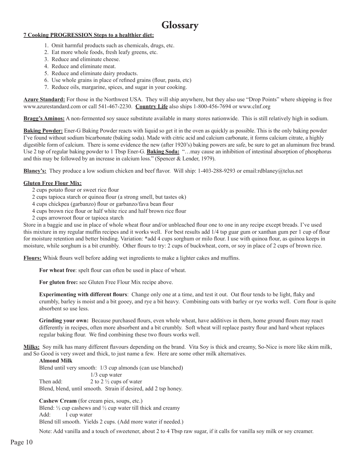# **Glossary**

#### **7 Cooking PROGRESSION Steps to a healthier diet:**

- 1. Omit harmful products such as chemicals, drugs, etc.
- 2. Eat more whole foods, fresh leafy greens, etc.
- 3. Reduce and eliminate cheese.
- 4. Reduce and eliminate meat.
- 5. Reduce and eliminate dairy products.
- 6. Use whole grains in place of refined grains (flour, pasta, etc)
- 7. Reduce oils, margarine, spices, and sugar in your cooking.

**Azure Standard:** For those in the Northwest USA. They will ship anywhere, but they also use "Drop Points" where shipping is free www.azurestandard.com or call 541-467-2230. **Country Life** also ships 1-800-456-7694 or www.clnf.org

**Bragg's Aminos:** A non-fermented soy sauce substitute available in many stores nationwide. This is still relatively high in sodium.

**Baking Powder:** Ener-G Baking Powder reacts with liquid so get it in the oven as quickly as possible. This is the only baking powder I've found without sodium bicarbonate (baking soda). Made with citric acid and calcium carbonate, it forms calcium citrate, a highly digestible form of calcium. There is some evidence the new (after 1920's) baking powers are safe, be sure to get an aluminum free brand. Use 2 tsp of regular baking powder to 1 Tbsp Ener-G. **Baking Soda:** "…may cause an inhibition of intestinal absorption of phosphorus and this may be followed by an increase in calcium loss." (Spencer & Lender, 1979).

**Blaney's:** They produce a low sodium chicken and beef flavor. Will ship: 1-403-288-9293 or email:rdblaney@telus.net

#### **Gluten Free Flour Mix:**

- 2 cups potato flour or sweet rice flour
- 2 cups tapioca starch or quinoa flour (a strong smell, but tastes ok)
- 4 cups chickpea (garbanzo) flour or garbanzo/fava bean flour
- 4 cups brown rice flour or half white rice and half brown rice flour
- 2 cups arrowroot flour or tapioca starch

Store in a baggie and use in place of whole wheat flour and/or unbleached flour one to one in any recipe except breads. I've used this mixture in my regular muffin recipes and it works well. For best results add 1/4 tsp guar gum or xanthan gum per 1 cup of flour for moisture retention and better binding. Variation: \*add 4 cups sorghum or milo flour. I use with quinoa flour, as quinoa keeps in moisture, while sorghum is a bit crumbly. Other flours to try: 2 cups of buckwheat, corn, or soy in place of 2 cups of brown rice.

**Flours:** Whisk flours well before adding wet ingredients to make a lighter cakes and muffins.

**For wheat free**: spelt flour can often be used in place of wheat.

**For gluten free:** see Gluten Free Flour Mix recipe above.

**Experimenting with different flours**: Change only one at a time, and test it out. Oat flour tends to be light, flaky and crumbly, barley is moist and a bit gooey, and rye a bit heavy. Combining oats with barley or rye works well. Corn flour is quite absorbent so use less.

**Grinding your own:** Because purchased flours, even whole wheat, have additives in them, home ground flours may react differently in recipes, often more absorbent and a bit crumbly. Soft wheat will replace pastry flour and hard wheat replaces regular baking flour. We find combining these two flours works well.

**Milks:** Soy milk has many different flavours depending on the brand. Vita Soy is thick and creamy, So-Nice is more like skim milk, and So Good is very sweet and thick, to just name a few. Here are some other milk alternatives.

#### **Almond Milk**

Blend until very smooth: 1/3 cup almonds (can use blanched) 1/3 cup water Then add:  $2 \text{ to } 2 \frac{1}{2}$  cups of water Blend, blend, until smooth. Strain if desired, add 2 tsp honey.

**Cashew Cream** (for cream pies, soups, etc.) Blend:  $\frac{1}{2}$  cup cashews and  $\frac{1}{2}$  cup water till thick and creamy Add: 1 cup water Blend till smooth. Yields 2 cups. (Add more water if needed.)

Note: Add vanilla and a touch of sweetener, about 2 to 4 Tbsp raw sugar, if it calls for vanilla soy milk or soy creamer.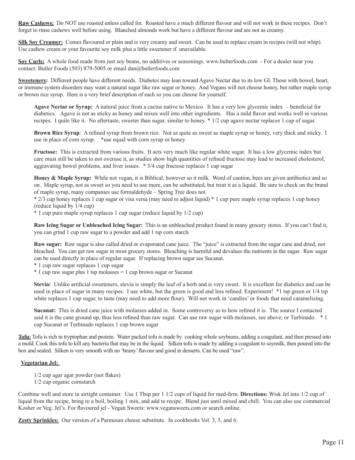**Raw Cashews:** Do NOT use roasted unless called for. Roasted have a much different flavour and will not work in these recipes. Don't forget to rinse cashews well before using. Blanched almonds work but have a different flavour and are not as creamy.

**Silk Soy Creamer:** Comes flavoured or plain and is very creamy and sweet. Can be used to replace cream in recipes (will not whip). Use cashew cream or your favourite soy milk plus a little sweetener if unavailable.

**Soy Curls:** A whole food made from just soy beans, no additives or seasonings. www.bulterfoods.com - For a dealer near you contact: Butler Foods (503) 879-5005 or email dan@butlerfoods.com

**Sweeteners:** Different people have different needs. Diabetes may lean toward Agave Nectar due to its low GI. Those with bowel, heart, or immune system disorders may want a natural sugar like raw sugar or honey. And Vegans will not choose honey, but rather maple syrup or brown rice syrup. Here is a very brief description of each so you can choose for yourself.

**Agave Nectar or Syrup:** A natural juice from a cactus native to Mexico. It has a very low glycemic index – beneficial for diabetics. Agave is not as sticky as honey and mixes well into other ingredients. Has a mild flavor and works well in various recipes. I quite like it. No aftertaste, sweeter than sugar, similar to honey. \* 1/2 cup agave nectar replaces 1 cup of sugar.

**Brown Rice Syrup**: A refined syrup from brown rice. Not as quite as sweet as maple syrup or honey, very thick and sticky. I use in place of corn syrup. \*use equal with corn syrup or honey

**Fructose:** This is extracted from various fruits. It acts very much like regular white sugar. It has a low glycemic index but care must still be taken to not overuse it, as studies show high quantities of refined fructose may lead to increased cholesterol, aggravating bowel problems, and liver issues. \* 3/4 cup fructose replaces 1 cup sugar

**Honey & Maple Syrup:** While not vegan, it is Biblical, however so it milk. Word of caution, bees are given antibiotics and so on. Maple syrup, not as sweet so you need to use more, can be substituted, but treat it as a liquid. Be sure to check on the brand of maple syrup, many companies use formaldehyde – Spring Tree does not.

\* 2/3 cup honey replaces 1 cup sugar or visa versa (may need to adjust liquid) \* 1 cup pure maple syrup replaces 1 cup honey (reduce liquid by 1/4 cup)

\* 1 cup pure maple syrup replaces 1 cup sugar (reduce liquid by 1/2 cup)

**Raw Icing Sugar or Unbleached Icing Sugar:** This is an unbleached product found in many grocery stores. If you can't find it, you can grind 1 cup raw sugar to a powder and add 1 tsp corn starch.

**Raw sugar:** Raw sugar is also called dried or evaporated cane juice. The "juice" is extracted from the sugar cane and dried, not bleached. You can get raw sugar in most grocery stores. Bleaching is harmful and devalues the nutrients in the sugar. Raw sugar can be used directly in place of regular sugar. If replacing brown sugar see Sucanat.

\* 1 cup raw sugar replaces 1 cup sugar

\* 1 cup raw sugar plus 1 tsp molasses = 1 cup brown sugar or Sucanat

**Stevia:** Unlike artificial sweeteners, stevia is simply the leaf of a herb and is very sweet. It is excellent for diabetics and can be used in place of sugar in many recipes. I use white, but the green is good and less refined. Experiment! \*1 tsp green or 1/4 tsp white replaces 1 cup sugar, to taste (may need to add more flour). Will not work in 'candies' or foods that need caramelizing.

**Sucanat:** This is dried cane juice with molasses added in. Some controversy as to how refined it is. The source I contacted said it is the cane ground up, thus less refined than raw sugar. Can use raw sugar with molasses, see above; or Turbinado. \*1 cup Sucanat or Turbinado replaces 1 cup brown sugar

**Tofu:** Tofu is rich in tryptophan and protein. Water packed tofu is made by cooking whole soybeans, adding a coagulant, and then pressed into a mold. Cook this tofu to kill any bacteria that may be in the liquid. Silken tofu is made by adding a coagulant to soymilk, then poured into the box and sealed. Silken is very smooth with no 'beany'flavour and good in desserts. Can be used "raw".

#### **Vegetarian Jel:**

1/2 cup agar agar powder (not flakes)

1/2 cup organic cornstarch

Combine well and store in airtight container. Use 1 Tbsp per 1 1/2 cups of liquid for med-firm. **Directions:** Wisk Jel into 1/2 cup of liquid from the recipe, bring to a boil, boiling 1 min, and add to recipe. Blend just until mixed and chill. You can also use commercial Kosher or Veg. Jel's. For flavoured jel - Vegan Sweets: www.vegansweets.com or search online.

**Zesty Sprinkles:** Our version of a Parmesan cheese substitute. In cookbooks Vol. 3, 5, and 6.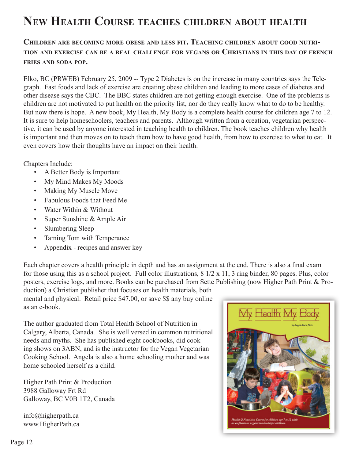# **New Health Course teaches children about health**

#### **Children are becoming more obese and less fit. Teaching children about good nutrition and exercise can be <sup>a</sup> real challenge for vegans or Christians in this day of french fries and soda pop.**

Elko, BC (PRWEB) February 25, 2009 -- Type 2 Diabetes is on the increase in many countries says the Telegraph. Fast foods and lack of exercise are creating obese children and leading to more cases of diabetes and other disease says the CBC. The BBC states children are not getting enough exercise. One of the problems is children are not motivated to put health on the priority list, nor do they really know what to do to be healthy. But now there is hope. A new book, My Health, My Body is a complete health course for children age 7 to 12. It is sure to help homeschoolers, teachers and parents. Although written from a creation, vegetarian perspective, it can be used by anyone interested in teaching health to children. The book teaches children why health is important and then moves on to teach them how to have good health, from how to exercise to what to eat. It even covers how their thoughts have an impact on their health.

Chapters Include:

- A Better Body is Important
- My Mind Makes My Moods
- Making My Muscle Move
- Fabulous Foods that Feed Me
- Water Within & Without
- Super Sunshine & Ample Air
- Slumbering Sleep
- Taming Tom with Temperance
- Appendix recipes and answer key

Each chapter covers a health principle in depth and has an assignment at the end. There is also a final exam for those using this as a school project. Full color illustrations, 8 1/2 x 11, 3 ring binder, 80 pages. Plus, color posters, exercise logs, and more. Books can be purchased from Sette Publishing (now Higher Path Print & Pro-

duction) a Christian publisher that focuses on health materials, both mental and physical. Retail price \$47.00, or save \$\$ any buy online as an e-book.

The author graduated from Total Health School of Nutrition in Calgary, Alberta, Canada. She is well versed in common nutritional needs and myths. She has published eight cookbooks, did cooking shows on 3ABN, and is the instructor for the Vegan Vegetarian Cooking School. Angela is also a home schooling mother and was home schooled herself as a child.

Higher Path Print & Production 3988 Galloway Frt Rd Galloway, BC V0B 1T2, Canada

info@higherpath.ca www.HigherPath.ca

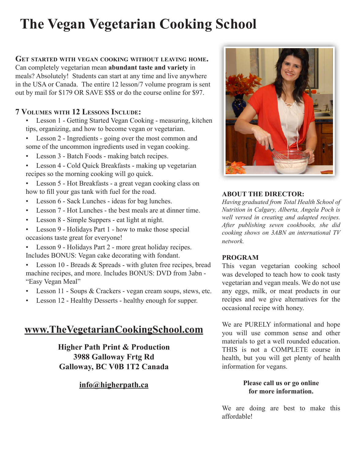# **The Vegan Vegetarian Cooking School**

#### **Get started with vegan cooking without leaving home.** Can completely vegetarian mean **abundant taste and variety** in meals? Absolutely! Students can start at any time and live anywhere in the USA or Canada. The entire 12 lesson/7 volume program is sent out by mail for \$179 OR SAVE \$\$\$ or do the course online for \$97.

#### **7 Volumes with 12 Lessons Include:**

- Lesson 1 Getting Started Vegan Cooking measuring, kitchen tips, organizing, and how to become vegan or vegetarian.
- Lesson 2 Ingredients going over the most common and some of the uncommon ingredients used in vegan cooking.
- Lesson 3 Batch Foods making batch recipes.
- Lesson 4 Cold Quick Breakfasts making up vegetarian recipes so the morning cooking will go quick.
- Lesson 5 Hot Breakfasts a great vegan cooking class on how to fill your gas tank with fuel for the road.
- Lesson 6 Sack Lunches ideas for bag lunches.
- Lesson 7 Hot Lunches the best meals are at dinner time.
- Lesson 8 Simple Suppers eat light at night.
- Lesson 9 Holidays Part 1 how to make those special occasions taste great for everyone!
- Lesson 9 Holidays Part 2 more great holiday recipes. Includes BONUS: Vegan cake decorating with fondant.
- Lesson 10 Breads & Spreads with gluten free recipes, bread machine recipes, and more. Includes BONUS: DVD from 3abn - "Easy Vegan Meal"
- Lesson 11 Soups & Crackers vegan cream soups, stews, etc.
- Lesson 12 Healthy Desserts healthy enough for supper.

# **www.TheVegetarianCookingSchool.com**

**Higher Path Print & Production 3988 Galloway Frtg Rd Galloway, BC V0B 1T2 Canada**

#### **info@higherpath.ca**



#### **ABOUT THE DIRECTOR:**

*Having graduated from Total Health School of Nutrition in Calgary, Alberta, Angela Poch is well versed in creating and adapted recipes. After publishing seven cookbooks, she did cooking shows on 3ABN an international TV network.*

#### **PROGRAM**

This vegan vegetarian cooking school was developed to teach how to cook tasty vegetarian and vegan meals. We do not use any eggs, milk, or meat products in our recipes and we give alternatives for the occasional recipe with honey.

We are PURELY informational and hope you will use common sense and other materials to get a well rounded education. THIS is not a COMPLETE course in health, but you will get plenty of health information for vegans.

#### **Please call us or go online for more information.**

We are doing are best to make this affordable!